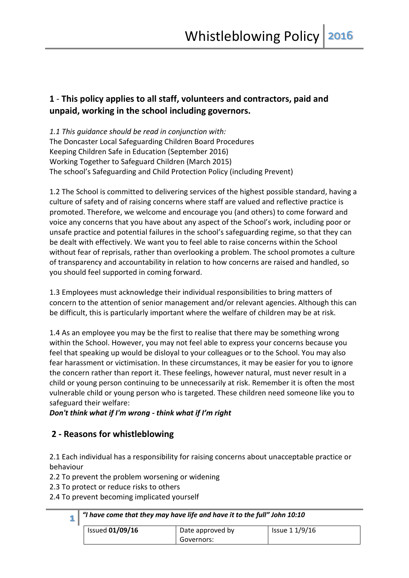# **1** - **This policy applies to all staff, volunteers and contractors, paid and unpaid, working in the school including governors.**

*1.1 This guidance should be read in conjunction with:*  The Doncaster Local Safeguarding Children Board Procedures Keeping Children Safe in Education (September 2016) Working Together to Safeguard Children (March 2015) The school's Safeguarding and Child Protection Policy (including Prevent)

1.2 The School is committed to delivering services of the highest possible standard, having a culture of safety and of raising concerns where staff are valued and reflective practice is promoted. Therefore, we welcome and encourage you (and others) to come forward and voice any concerns that you have about any aspect of the School's work, including poor or unsafe practice and potential failures in the school's safeguarding regime, so that they can be dealt with effectively. We want you to feel able to raise concerns within the School without fear of reprisals, rather than overlooking a problem. The school promotes a culture of transparency and accountability in relation to how concerns are raised and handled, so you should feel supported in coming forward.

1.3 Employees must acknowledge their individual responsibilities to bring matters of concern to the attention of senior management and/or relevant agencies. Although this can be difficult, this is particularly important where the welfare of children may be at risk.

1.4 As an employee you may be the first to realise that there may be something wrong within the School. However, you may not feel able to express your concerns because you feel that speaking up would be disloyal to your colleagues or to the School. You may also fear harassment or victimisation. In these circumstances, it may be easier for you to ignore the concern rather than report it. These feelings, however natural, must never result in a child or young person continuing to be unnecessarily at risk. Remember it is often the most vulnerable child or young person who is targeted. These children need someone like you to safeguard their welfare:

*Don't think what if I'm wrong - think what if I'm right* 

## **2 - Reasons for whistleblowing**

2.1 Each individual has a responsibility for raising concerns about unacceptable practice or behaviour

2.2 To prevent the problem worsening or widening

2.3 To protect or reduce risks to others

**1**

2.4 To prevent becoming implicated yourself

| <b>Issued 01/09/16</b> | Date approved by | Issue 1 1/9/16 |
|------------------------|------------------|----------------|
|                        | Governors:       |                |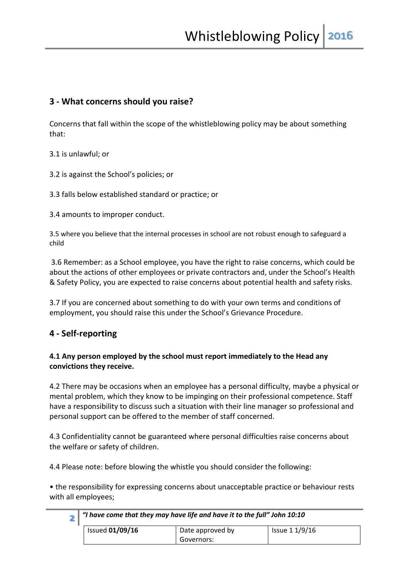### **3 - What concerns should you raise?**

Concerns that fall within the scope of the whistleblowing policy may be about something that:

3.1 is unlawful; or

3.2 is against the School's policies; or

3.3 falls below established standard or practice; or

3.4 amounts to improper conduct.

3.5 where you believe that the internal processes in school are not robust enough to safeguard a child

3.6 Remember: as a School employee, you have the right to raise concerns, which could be about the actions of other employees or private contractors and, under the School's Health & Safety Policy, you are expected to raise concerns about potential health and safety risks.

3.7 If you are concerned about something to do with your own terms and conditions of employment, you should raise this under the School's Grievance Procedure.

## **4 - Self-reporting**

#### **4.1 Any person employed by the school must report immediately to the Head any convictions they receive.**

4.2 There may be occasions when an employee has a personal difficulty, maybe a physical or mental problem, which they know to be impinging on their professional competence. Staff have a responsibility to discuss such a situation with their line manager so professional and personal support can be offered to the member of staff concerned.

4.3 Confidentiality cannot be guaranteed where personal difficulties raise concerns about the welfare or safety of children.

4.4 Please note: before blowing the whistle you should consider the following:

• the responsibility for expressing concerns about unacceptable practice or behaviour rests with all employees;

| "I have come that they may have life and have it to the full" John 10:10 |                  |                |
|--------------------------------------------------------------------------|------------------|----------------|
| <b>Issued 01/09/16</b>                                                   | Date approved by | Issue 1 1/9/16 |
|                                                                          | Governors:       |                |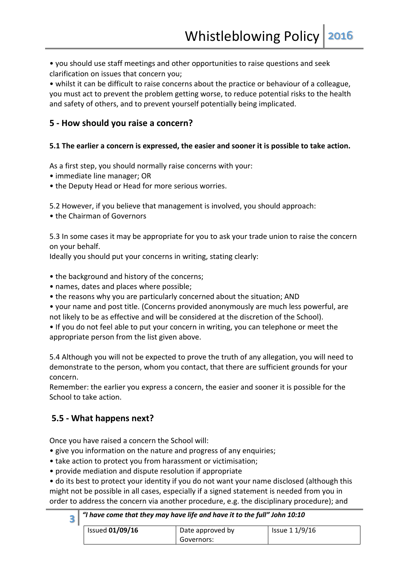• you should use staff meetings and other opportunities to raise questions and seek clarification on issues that concern you;

• whilst it can be difficult to raise concerns about the practice or behaviour of a colleague, you must act to prevent the problem getting worse, to reduce potential risks to the health and safety of others, and to prevent yourself potentially being implicated.

### **5 - How should you raise a concern?**

#### **5.1 The earlier a concern is expressed, the easier and sooner it is possible to take action.**

As a first step, you should normally raise concerns with your:

- immediate line manager; OR
- the Deputy Head or Head for more serious worries.

5.2 However, if you believe that management is involved, you should approach:

• the Chairman of Governors

5.3 In some cases it may be appropriate for you to ask your trade union to raise the concern on your behalf.

Ideally you should put your concerns in writing, stating clearly:

- the background and history of the concerns;
- names, dates and places where possible;
- the reasons why you are particularly concerned about the situation; AND

• your name and post title. (Concerns provided anonymously are much less powerful, are not likely to be as effective and will be considered at the discretion of the School).

• If you do not feel able to put your concern in writing, you can telephone or meet the appropriate person from the list given above.

5.4 Although you will not be expected to prove the truth of any allegation, you will need to demonstrate to the person, whom you contact, that there are sufficient grounds for your concern.

Remember: the earlier you express a concern, the easier and sooner it is possible for the School to take action.

## **5.5 - What happens next?**

Once you have raised a concern the School will:

- give you information on the nature and progress of any enquiries;
- take action to protect you from harassment or victimisation;
- provide mediation and dispute resolution if appropriate

• do its best to protect your identity if you do not want your name disclosed (although this might not be possible in all cases, especially if a signed statement is needed from you in order to address the concern via another procedure, e.g. the disciplinary procedure); and

| 3 |                        | , "I have come that they may have life and have it to the full" John 10:10 $\,$ |                |  |
|---|------------------------|---------------------------------------------------------------------------------|----------------|--|
|   | <b>Issued 01/09/16</b> | Date approved by                                                                | Issue 1 1/9/16 |  |
|   |                        | Governors:                                                                      |                |  |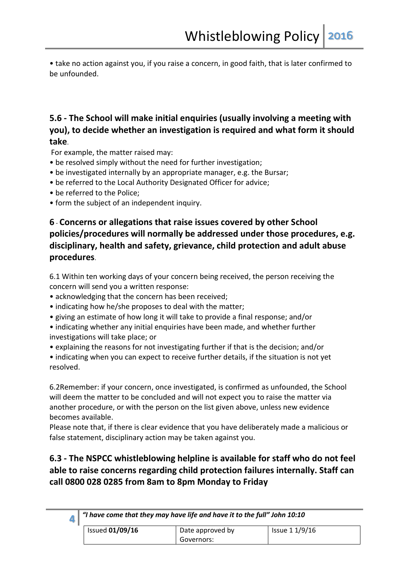• take no action against you, if you raise a concern, in good faith, that is later confirmed to be unfounded.

# **5.6 - The School will make initial enquiries (usually involving a meeting with you), to decide whether an investigation is required and what form it should take**.

For example, the matter raised may:

- be resolved simply without the need for further investigation;
- be investigated internally by an appropriate manager, e.g. the Bursar;
- be referred to the Local Authority Designated Officer for advice;
- be referred to the Police;
- form the subject of an independent inquiry.

# **6** - **Concerns or allegations that raise issues covered by other School policies/procedures will normally be addressed under those procedures, e.g. disciplinary, health and safety, grievance, child protection and adult abuse procedures**.

6.1 Within ten working days of your concern being received, the person receiving the concern will send you a written response:

- acknowledging that the concern has been received;
- indicating how he/she proposes to deal with the matter;
- giving an estimate of how long it will take to provide a final response; and/or
- indicating whether any initial enquiries have been made, and whether further investigations will take place; or
- explaining the reasons for not investigating further if that is the decision; and/or
- indicating when you can expect to receive further details, if the situation is not yet resolved.

6.2Remember: if your concern, once investigated, is confirmed as unfounded, the School will deem the matter to be concluded and will not expect you to raise the matter via another procedure, or with the person on the list given above, unless new evidence becomes available.

Please note that, if there is clear evidence that you have deliberately made a malicious or false statement, disciplinary action may be taken against you.

# **6.3 - The NSPCC whistleblowing helpline is available for staff who do not feel able to raise concerns regarding child protection failures internally. Staff can call 0800 028 0285 from 8am to 8pm Monday to Friday**

| $\blacktriangle$ | $^{\circ}$ "I have come that they may have life and have it to the full" John 10:10 |                  |                |
|------------------|-------------------------------------------------------------------------------------|------------------|----------------|
|                  | <b>Issued 01/09/16</b>                                                              | Date approved by | Issue 1 1/9/16 |
|                  |                                                                                     | Governors:       |                |